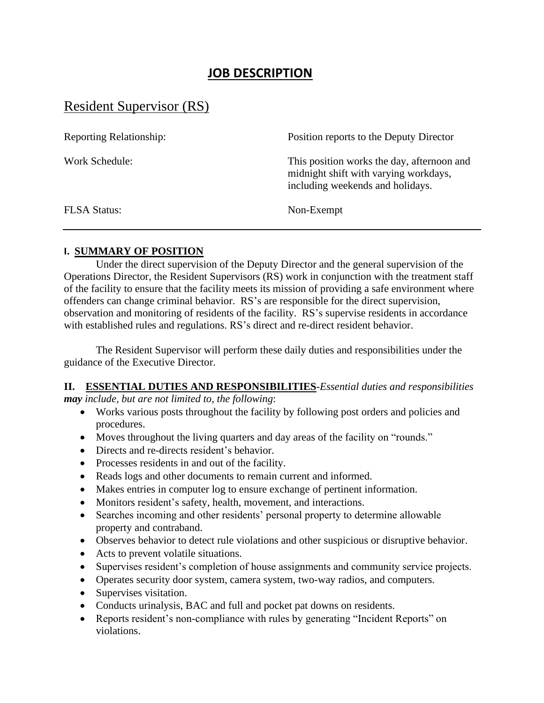## **JOB DESCRIPTION**

# Resident Supervisor (RS)

| <b>Reporting Relationship:</b> | Position reports to the Deputy Director                                                                                 |
|--------------------------------|-------------------------------------------------------------------------------------------------------------------------|
| Work Schedule:                 | This position works the day, afternoon and<br>midnight shift with varying workdays,<br>including weekends and holidays. |
| <b>FLSA Status:</b>            | Non-Exempt                                                                                                              |

#### **I. SUMMARY OF POSITION**

 Under the direct supervision of the Deputy Director and the general supervision of the Operations Director, the Resident Supervisors (RS) work in conjunction with the treatment staff of the facility to ensure that the facility meets its mission of providing a safe environment where offenders can change criminal behavior. RS's are responsible for the direct supervision, observation and monitoring of residents of the facility. RS's supervise residents in accordance with established rules and regulations. RS's direct and re-direct resident behavior.

The Resident Supervisor will perform these daily duties and responsibilities under the guidance of the Executive Director.

### **II. ESSENTIAL DUTIES AND RESPONSIBILITIES**-*Essential duties and responsibilities may include, but are not limited to, the following*:

- Works various posts throughout the facility by following post orders and policies and procedures.
- Moves throughout the living quarters and day areas of the facility on "rounds."
- Directs and re-directs resident's behavior.
- Processes residents in and out of the facility.
- Reads logs and other documents to remain current and informed.
- Makes entries in computer log to ensure exchange of pertinent information.
- Monitors resident's safety, health, movement, and interactions.
- Searches incoming and other residents' personal property to determine allowable property and contraband.
- Observes behavior to detect rule violations and other suspicious or disruptive behavior.
- Acts to prevent volatile situations.
- Supervises resident's completion of house assignments and community service projects.
- Operates security door system, camera system, two-way radios, and computers.
- Supervises visitation.
- Conducts urinalysis, BAC and full and pocket pat downs on residents.
- Reports resident's non-compliance with rules by generating "Incident Reports" on violations.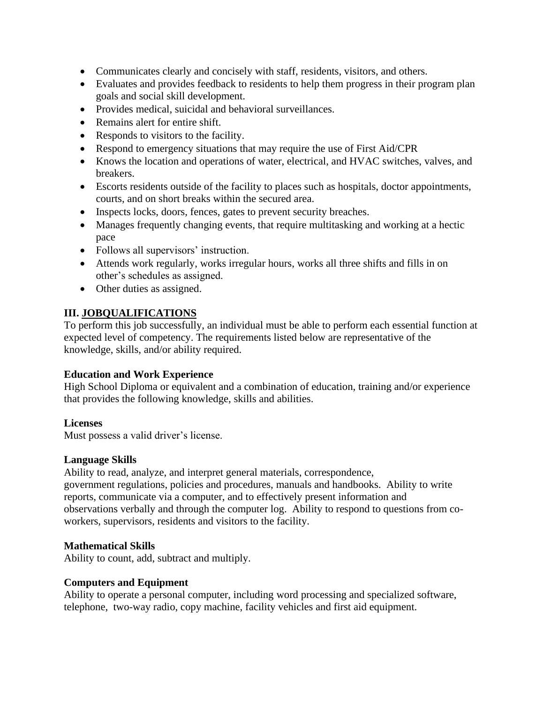- Communicates clearly and concisely with staff, residents, visitors, and others.
- Evaluates and provides feedback to residents to help them progress in their program plan goals and social skill development.
- Provides medical, suicidal and behavioral surveillances.
- Remains alert for entire shift.
- Responds to visitors to the facility.
- Respond to emergency situations that may require the use of First Aid/CPR
- Knows the location and operations of water, electrical, and HVAC switches, valves, and breakers.
- Escorts residents outside of the facility to places such as hospitals, doctor appointments, courts, and on short breaks within the secured area.
- Inspects locks, doors, fences, gates to prevent security breaches.
- Manages frequently changing events, that require multitasking and working at a hectic pace
- Follows all supervisors' instruction.
- Attends work regularly, works irregular hours, works all three shifts and fills in on other's schedules as assigned.
- Other duties as assigned.

## **III. JOBQUALIFICATIONS**

To perform this job successfully, an individual must be able to perform each essential function at expected level of competency. The requirements listed below are representative of the knowledge, skills, and/or ability required.

## **Education and Work Experience**

High School Diploma or equivalent and a combination of education, training and/or experience that provides the following knowledge, skills and abilities.

## **Licenses**

Must possess a valid driver's license.

## **Language Skills**

Ability to read, analyze, and interpret general materials, correspondence, government regulations, policies and procedures, manuals and handbooks. Ability to write reports, communicate via a computer, and to effectively present information and observations verbally and through the computer log. Ability to respond to questions from coworkers, supervisors, residents and visitors to the facility.

## **Mathematical Skills**

Ability to count, add, subtract and multiply.

## **Computers and Equipment**

Ability to operate a personal computer, including word processing and specialized software, telephone, two-way radio, copy machine, facility vehicles and first aid equipment.